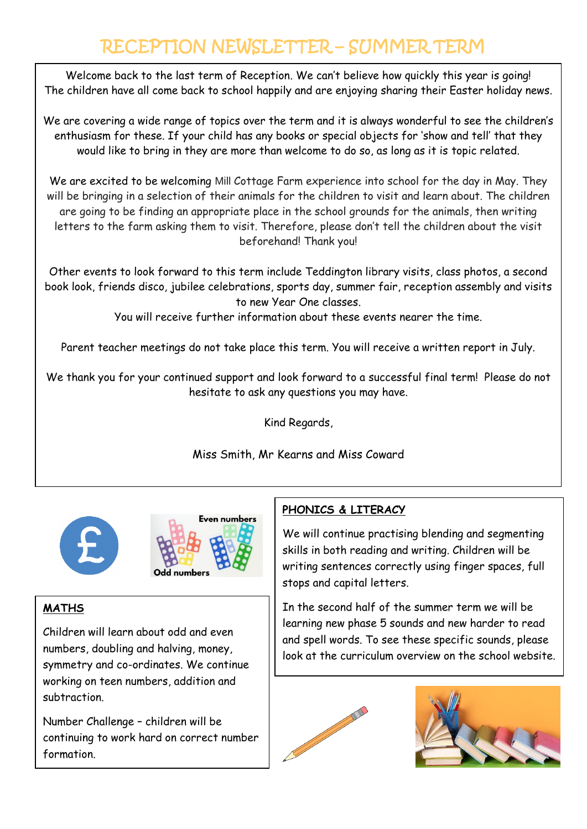# RECEPTION NEWSLETTER – SUMMER TERM

Welcome back to the last term of Reception. We can't believe how quickly this year is going! The children have all come back to school happily and are enjoying sharing their Easter holiday news.

We are covering a wide range of topics over the term and it is always wonderful to see the children's enthusiasm for these. If your child has any books or special objects for 'show and tell' that they would like to bring in they are more than welcome to do so, as long as it is topic related.

We are excited to be welcoming Mill Cottage Farm experience into school for the day in May. They will be bringing in a selection of their animals for the children to visit and learn about. The children are going to be finding an appropriate place in the school grounds for the animals, then writing letters to the farm asking them to visit. Therefore, please don't tell the children about the visit beforehand! Thank you!

Other events to look forward to this term include Teddington library visits, class photos, a second book look, friends disco, jubilee celebrations, sports day, summer fair, reception assembly and visits to new Year One classes.

You will receive further information about these events nearer the time.

Parent teacher meetings do not take place this term. You will receive a written report in July.

We thank you for your continued support and look forward to a successful final term! Please do not hesitate to ask any questions you may have.

Kind Regards,

Miss Smith, Mr Kearns and Miss Coward





# **MATHS**

Children will learn about odd and even numbers, doubling and halving, money, symmetry and co-ordinates. We continue working on teen numbers, addition and subtraction.

Number Challenge – children will be continuing to work hard on correct number formation.

# **PHONICS & LITERACY**

We will continue practising blending and segmenting skills in both reading and writing. Children will be writing sentences correctly using finger spaces, full stops and capital letters.

In the second half of the summer term we will be learning new phase 5 sounds and new harder to read and spell words. To see these specific sounds, please look at the curriculum overview on the school website.